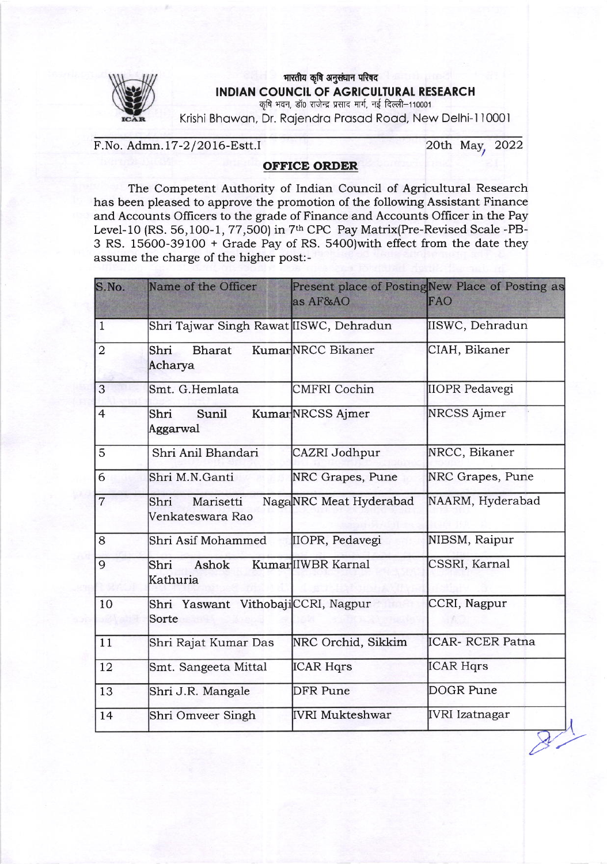

## मारतीय कृषि अनुसंधान परिषद INDIAN COUNCIL OF AGRICULTURAL RESEARCH कृषि भवन, डॉ0 राजेन्द्र प्रसाद मार्ग, नई दिल्ली-110001

Krishi Bhowon, Dr. Rojendro Prosod Rood, New Delhi-l 10001

F.No. Admn. 17-2/2016-Estt.I 20th May, 2022

 $\overline{\phantom{a}}$ 

## OFFICE ORDER

The Competent Authority of Indian Council of Agricultural Research has been pleased to approve the promotion of the following Assistant Finance and Accounts Officers to the grade of Finance and Accounts Officer in the Pay Level-10 (RS. 56, 100-1, 77, 500) in 7<sup>th</sup> CPC Pay Matrix(Pre-Revised Scale -PB-3 RS. 15600-39100 + Grade Pay of RS. 5400)with effect from the date they assume the charge of the higher post:

| S.No.          | Name of the Officer                         | as AF&AO               | Present place of PostingNew Place of Posting as<br>FAO |
|----------------|---------------------------------------------|------------------------|--------------------------------------------------------|
| $\mathbf{1}$   | Shri Tajwar Singh Rawat IISWC, Dehradun     |                        | IISWC, Dehradun                                        |
| $\overline{2}$ | Shri<br><b>Bharat</b><br>Acharya            | KumarNRCC Bikaner      | CIAH, Bikaner                                          |
| 3              | Smt. G.Hemlata                              | <b>CMFRI</b> Cochin    | <b>IIOPR Pedavegi</b>                                  |
| $\overline{4}$ | Sunil<br>Shri<br>Aggarwal                   | KumarNRCSS Ajmer       | <b>NRCSS Ajmer</b>                                     |
| 5              | Shri Anil Bhandari                          | CAZRI Jodhpur          | NRCC, Bikaner                                          |
| 6              | Shri M.N.Ganti                              | NRC Grapes, Pune       | NRC Grapes, Pune                                       |
| $\overline{7}$ | Marisetti<br>Shri<br>Venkateswara Rao       | NagaNRC Meat Hyderabad | NAARM, Hyderabad                                       |
| 8              | Shri Asif Mohammed                          | IIOPR, Pedavegi        | NIBSM, Raipur                                          |
| 9              | Ashok<br>Shri<br>Kathuria                   | KumarlIWBR Karnal      | CSSRI, Karnal                                          |
| 10             | Shri Yaswant VithobajiCCRI, Nagpur<br>Sorte |                        | CCRI, Nagpur                                           |
| 11             | Shri Rajat Kumar Das                        | NRC Orchid, Sikkim     | <b>ICAR- RCER Patna</b>                                |
| 12             | Smt. Sangeeta Mittal                        | <b>ICAR Hqrs</b>       | <b>ICAR Hqrs</b>                                       |
| 13             | Shri J.R. Mangale                           | <b>DFR Pune</b>        | <b>DOGR Pune</b>                                       |
| 14             | Shri Omveer Singh                           | <b>IVRI Mukteshwar</b> | <b>IVRI</b> Izatnagar                                  |